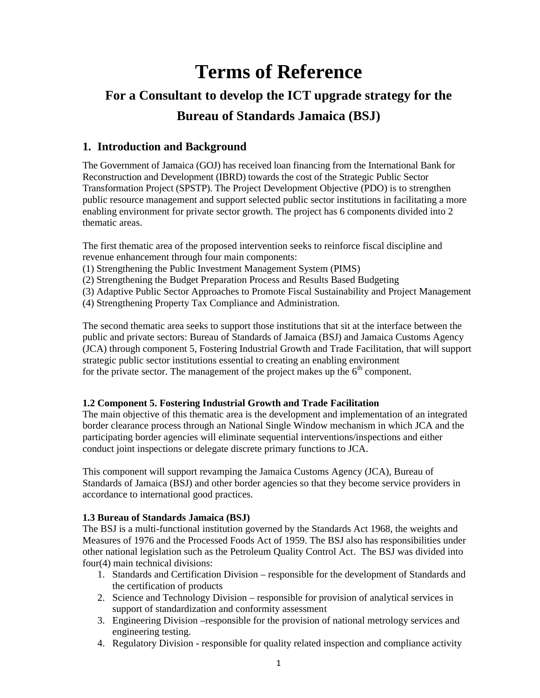# **Terms of Reference**

# **For a Consultant to develop the ICT upgrade strategy for the Bureau of Standards Jamaica (BSJ)**

# **1. Introduction and Background**

The Government of Jamaica (GOJ) has received loan financing from the International Bank for Reconstruction and Development (IBRD) towards the cost of the Strategic Public Sector Transformation Project (SPSTP). The Project Development Objective (PDO) is to strengthen public resource management and support selected public sector institutions in facilitating a more enabling environment for private sector growth. The project has 6 components divided into 2 thematic areas.

The first thematic area of the proposed intervention seeks to reinforce fiscal discipline and revenue enhancement through four main components:

- (1) Strengthening the Public Investment Management System (PIMS)
- (2) Strengthening the Budget Preparation Process and Results Based Budgeting
- (3) Adaptive Public Sector Approaches to Promote Fiscal Sustainability and Project Management
- (4) Strengthening Property Tax Compliance and Administration.

The second thematic area seeks to support those institutions that sit at the interface between the public and private sectors: Bureau of Standards of Jamaica (BSJ) and Jamaica Customs Agency (JCA) through component 5, Fostering Industrial Growth and Trade Facilitation, that will support strategic public sector institutions essential to creating an enabling environment for the private sector. The management of the project makes up the  $6<sup>th</sup>$  component.

#### **1.2 Component 5. Fostering Industrial Growth and Trade Facilitation**

The main objective of this thematic area is the development and implementation of an integrated border clearance process through an National Single Window mechanism in which JCA and the participating border agencies will eliminate sequential interventions/inspections and either conduct joint inspections or delegate discrete primary functions to JCA.

This component will support revamping the Jamaica Customs Agency (JCA), Bureau of Standards of Jamaica (BSJ) and other border agencies so that they become service providers in accordance to international good practices.

#### **1.3 Bureau of Standards Jamaica (BSJ)**

The BSJ is a multi-functional institution governed by the Standards Act 1968, the weights and Measures of 1976 and the Processed Foods Act of 1959. The BSJ also has responsibilities under other national legislation such as the Petroleum Quality Control Act. The BSJ was divided into four(4) main technical divisions:

- 1. Standards and Certification Division responsible for the development of Standards and the certification of products
- 2. Science and Technology Division responsible for provision of analytical services in support of standardization and conformity assessment
- 3. Engineering Division –responsible for the provision of national metrology services and engineering testing.
- 4. Regulatory Division responsible for quality related inspection and compliance activity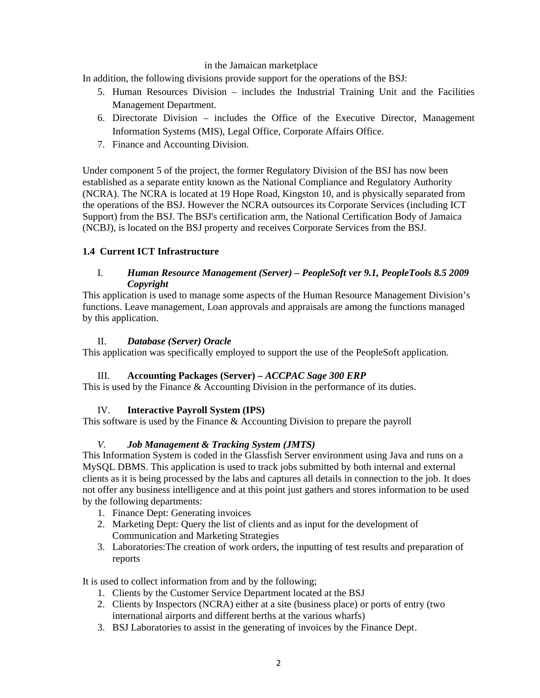#### in the Jamaican marketplace

In addition, the following divisions provide support for the operations of the BSJ:

- 5. Human Resources Division includes the Industrial Training Unit and the Facilities Management Department.
- 6. Directorate Division includes the Office of the Executive Director, Management Information Systems (MIS), Legal Office, Corporate Affairs Office.
- 7. Finance and Accounting Division.

Under component 5 of the project, the former Regulatory Division of the BSJ has now been established as a separate entity known as the National Compliance and Regulatory Authority (NCRA). The NCRA is located at 19 Hope Road, Kingston 10, and is physically separated from the operations of the BSJ. However the NCRA outsources its Corporate Services (including ICT Support) from the BSJ. The BSJ's certification arm, the National Certification Body of Jamaica (NCBJ), is located on the BSJ property and receives Corporate Services from the BSJ.

#### **1.4 Current ICT Infrastructure**

#### I. *Human Resource Management (Server) – PeopleSoft ver 9.1, PeopleTools 8.5 2009 Copyright*

This application is used to manage some aspects of the Human Resource Management Division's functions. Leave management, Loan approvals and appraisals are among the functions managed by this application.

#### II. *Database (Server) Oracle*

This application was specifically employed to support the use of the PeopleSoft application.

#### III. **Accounting Packages (Server) –** *ACCPAC Sage 300 ERP*

This is used by the Finance & Accounting Division in the performance of its duties.

#### IV. **Interactive Payroll System (IPS)**

This software is used by the Finance & Accounting Division to prepare the payroll

#### *V. Job Management & Tracking System (JMTS)*

This Information System is coded in the Glassfish Server environment using Java and runs on a MySQL DBMS. This application is used to track jobs submitted by both internal and external clients as it is being processed by the labs and captures all details in connection to the job. It does not offer any business intelligence and at this point just gathers and stores information to be used by the following departments:

- 1. Finance Dept: Generating invoices
- 2. Marketing Dept: Query the list of clients and as input for the development of Communication and Marketing Strategies
- 3. Laboratories:The creation of work orders, the inputting of test results and preparation of reports

It is used to collect information from and by the following;

- 1. Clients by the Customer Service Department located at the BSJ
- 2. Clients by Inspectors (NCRA) either at a site (business place) or ports of entry (two international airports and different berths at the various wharfs)
- 3. BSJ Laboratories to assist in the generating of invoices by the Finance Dept.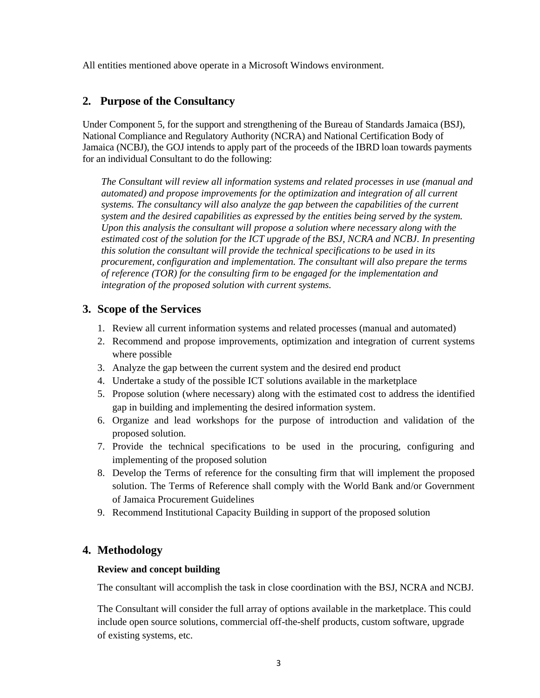All entities mentioned above operate in a Microsoft Windows environment.

# **2. Purpose of the Consultancy**

Under Component 5, for the support and strengthening of the Bureau of Standards Jamaica (BSJ), National Compliance and Regulatory Authority (NCRA) and National Certification Body of Jamaica (NCBJ), the GOJ intends to apply part of the proceeds of the IBRD loan towards payments for an individual Consultant to do the following:

*The Consultant will review all information systems and related processes in use (manual and automated) and propose improvements for the optimization and integration of all current systems. The consultancy will also analyze the gap between the capabilities of the current system and the desired capabilities as expressed by the entities being served by the system. Upon this analysis the consultant will propose a solution where necessary along with the estimated cost of the solution for the ICT upgrade of the BSJ, NCRA and NCBJ. In presenting this solution the consultant will provide the technical specifications to be used in its procurement, configuration and implementation. The consultant will also prepare the terms of reference (TOR) for the consulting firm to be engaged for the implementation and integration of the proposed solution with current systems.*

### **3. Scope of the Services**

- 1. Review all current information systems and related processes (manual and automated)
- 2. Recommend and propose improvements, optimization and integration of current systems where possible
- 3. Analyze the gap between the current system and the desired end product
- 4. Undertake a study of the possible ICT solutions available in the marketplace
- 5. Propose solution (where necessary) along with the estimated cost to address the identified gap in building and implementing the desired information system.
- 6. Organize and lead workshops for the purpose of introduction and validation of the proposed solution.
- 7. Provide the technical specifications to be used in the procuring, configuring and implementing of the proposed solution
- 8. Develop the Terms of reference for the consulting firm that will implement the proposed solution. The Terms of Reference shall comply with the World Bank and/or Government of Jamaica Procurement Guidelines
- 9. Recommend Institutional Capacity Building in support of the proposed solution

#### **4. Methodology**

#### **Review and concept building**

The consultant will accomplish the task in close coordination with the BSJ, NCRA and NCBJ.

The Consultant will consider the full array of options available in the marketplace. This could include open source solutions, commercial off-the-shelf products, custom software, upgrade of existing systems, etc.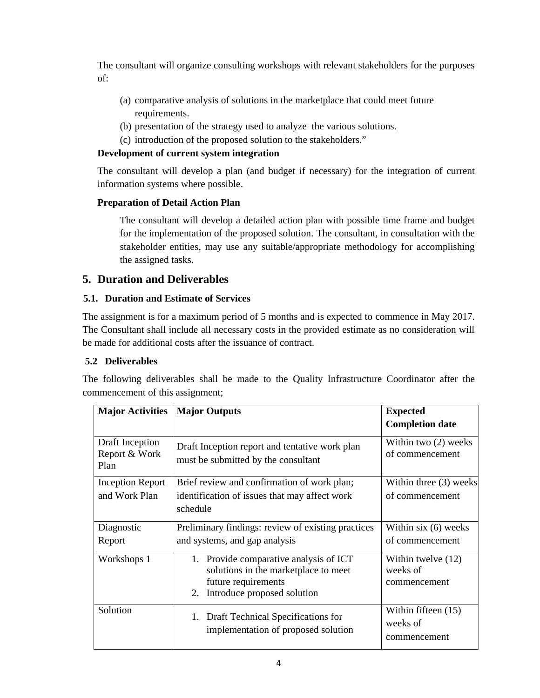The consultant will organize consulting workshops with relevant stakeholders for the purposes of:

- (a) comparative analysis of solutions in the marketplace that could meet future requirements.
- (b) presentation of the strategy used to analyze the various solutions.
- (c) introduction of the proposed solution to the stakeholders."

#### **Development of current system integration**

The consultant will develop a plan (and budget if necessary) for the integration of current information systems where possible.

#### **Preparation of Detail Action Plan**

The consultant will develop a detailed action plan with possible time frame and budget for the implementation of the proposed solution. The consultant, in consultation with the stakeholder entities, may use any suitable/appropriate methodology for accomplishing the assigned tasks.

# **5. Duration and Deliverables**

#### **5.1. Duration and Estimate of Services**

The assignment is for a maximum period of 5 months and is expected to commence in May 2017. The Consultant shall include all necessary costs in the provided estimate as no consideration will be made for additional costs after the issuance of contract.

#### **5.2 Deliverables**

The following deliverables shall be made to the Quality Infrastructure Coordinator after the commencement of this assignment;

| <b>Major Activities</b>                  | <b>Major Outputs</b>                                                                                                                       | <b>Expected</b><br><b>Completion date</b>         |
|------------------------------------------|--------------------------------------------------------------------------------------------------------------------------------------------|---------------------------------------------------|
| Draft Inception<br>Report & Work<br>Plan | Draft Inception report and tentative work plan<br>must be submitted by the consultant                                                      | Within two (2) weeks<br>of commencement           |
| <b>Inception Report</b><br>and Work Plan | Brief review and confirmation of work plan;<br>identification of issues that may affect work<br>schedule                                   | Within three (3) weeks<br>of commencement         |
| Diagnostic<br>Report                     | Preliminary findings: review of existing practices<br>and systems, and gap analysis                                                        | Within six $(6)$ weeks<br>of commencement         |
| Workshops 1                              | 1. Provide comparative analysis of ICT<br>solutions in the marketplace to meet<br>future requirements<br>Introduce proposed solution<br>2. | Within twelve (12)<br>weeks of<br>commencement    |
| Solution                                 | 1. Draft Technical Specifications for<br>implementation of proposed solution                                                               | Within fifteen $(15)$<br>weeks of<br>commencement |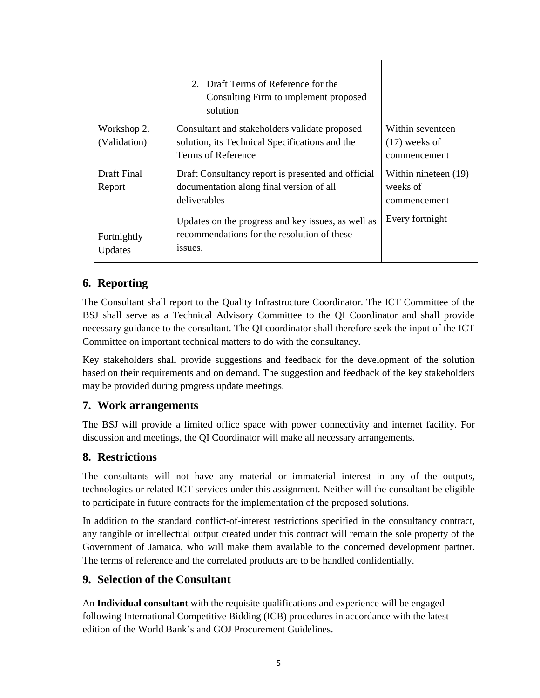|                        | 2. Draft Terms of Reference for the<br>Consulting Firm to implement proposed<br>solution                     |                      |
|------------------------|--------------------------------------------------------------------------------------------------------------|----------------------|
| Workshop 2.            | Consultant and stakeholders validate proposed                                                                | Within seventeen     |
| (Validation)           | solution, its Technical Specifications and the                                                               | $(17)$ weeks of      |
|                        | Terms of Reference                                                                                           | commencement         |
| Draft Final            | Draft Consultancy report is presented and official                                                           | Within nineteen (19) |
| Report                 | documentation along final version of all                                                                     | weeks of             |
|                        | deliverables                                                                                                 | commencement         |
| Fortnightly<br>Updates | Updates on the progress and key issues, as well as<br>recommendations for the resolution of these<br>issues. | Every fortnight      |

# **6. Reporting**

The Consultant shall report to the Quality Infrastructure Coordinator. The ICT Committee of the BSJ shall serve as a Technical Advisory Committee to the QI Coordinator and shall provide necessary guidance to the consultant. The QI coordinator shall therefore seek the input of the ICT Committee on important technical matters to do with the consultancy.

Key stakeholders shall provide suggestions and feedback for the development of the solution based on their requirements and on demand. The suggestion and feedback of the key stakeholders may be provided during progress update meetings.

#### **7. Work arrangements**

The BSJ will provide a limited office space with power connectivity and internet facility. For discussion and meetings, the QI Coordinator will make all necessary arrangements.

# **8. Restrictions**

The consultants will not have any material or immaterial interest in any of the outputs, technologies or related ICT services under this assignment. Neither will the consultant be eligible to participate in future contracts for the implementation of the proposed solutions.

In addition to the standard conflict-of-interest restrictions specified in the consultancy contract, any tangible or intellectual output created under this contract will remain the sole property of the Government of Jamaica, who will make them available to the concerned development partner. The terms of reference and the correlated products are to be handled confidentially.

# **9. Selection of the Consultant**

An **Individual consultant** with the requisite qualifications and experience will be engaged following International Competitive Bidding (ICB) procedures in accordance with the latest edition of the World Bank's and GOJ Procurement Guidelines*.*